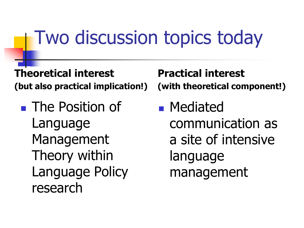### Two discussion topics today

**Theoretical interest (but also practical implication!)**

■ The Position of Language Management Theory within Language Policy research

**Practical interest (with theoretical component!)**

■ Mediated communication as a site of intensive language management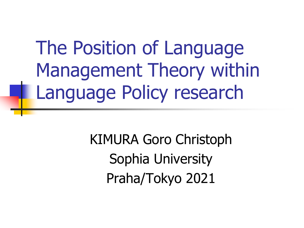The Position of Language Management Theory within Language Policy research

> KIMURA Goro Christoph Sophia University Praha/Tokyo 2021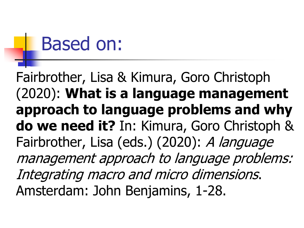### Based on:

Fairbrother, Lisa & Kimura, Goro Christoph (2020): **What is a language management approach to language problems and why do we need it?** In: Kimura, Goro Christoph & Fairbrother, Lisa (eds.) (2020): A language management approach to language problems: Integrating macro and micro dimensions. Amsterdam: John Benjamins, 1-28.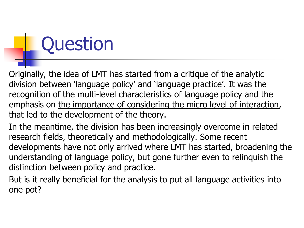## **Question**

Originally, the idea of LMT has started from a critique of the analytic division between 'language policy' and 'language practice'. It was the recognition of the multi-level characteristics of language policy and the emphasis on the importance of considering the micro level of interaction, that led to the development of the theory.

In the meantime, the division has been increasingly overcome in related research fields, theoretically and methodologically. Some recent developments have not only arrived where LMT has started, broadening the understanding of language policy, but gone further even to relinquish the distinction between policy and practice.

But is it really beneficial for the analysis to put all language activities into one pot?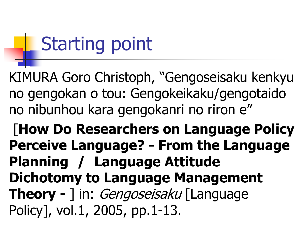## Starting point

KIMURA Goro Christoph, "Gengoseisaku kenkyu no gengokan o tou: Gengokeikaku/gengotaido no nibunhou kara gengokanri no riron e"

[**How Do Researchers on Language Policy Perceive Language? - From the Language Planning / Language Attitude Dichotomy to Language Management Theory -** 1 in: *Gengoseisaku* [Language Policy], vol.1, 2005, pp.1-13.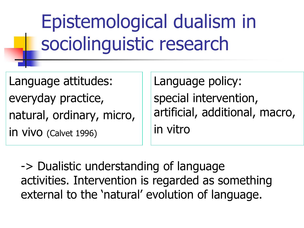Epistemological dualism in sociolinguistic research

Language attitudes: everyday practice, natural, ordinary, micro, in vivo (Calvet 1996)

Language policy: special intervention, artificial, additional, macro, in vitro

-> Dualistic understanding of language activities. Intervention is regarded as something external to the 'natural' evolution of language.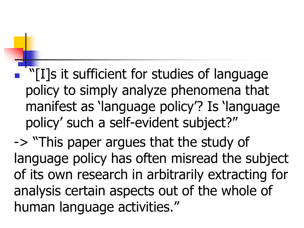$\lceil$  "[I]s it sufficient for studies of language policy to simply analyze phenomena that manifest as 'language policy'? Is 'language policy' such a self-evident subject?"

-> "This paper argues that the study of language policy has often misread the subject of its own research in arbitrarily extracting for analysis certain aspects out of the whole of human language activities."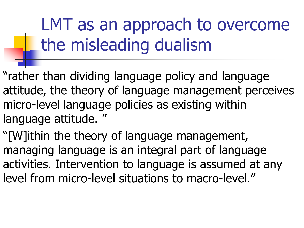LMT as an approach to overcome the misleading dualism

"rather than dividing language policy and language attitude, the theory of language management perceives micro-level language policies as existing within language attitude. "

"[W]ithin the theory of language management, managing language is an integral part of language activities. Intervention to language is assumed at any level from micro-level situations to macro-level."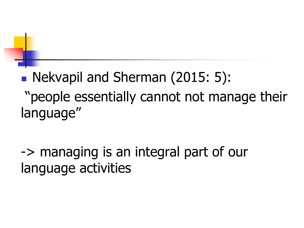■ Nekvapil and Sherman (2015: 5): "people essentially cannot not manage their language"

-> managing is an integral part of our language activities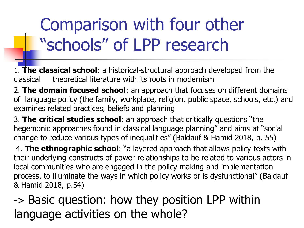### Comparison with four other "schools" of LPP research

1. **The classical school**: a historical-structural approach developed from the classical theoretical literature with its roots in modernism

2. **The domain focused school**: an approach that focuses on different domains of language policy (the family, workplace, religion, public space, schools, etc.) and examines related practices, beliefs and planning

3. **The critical studies school**: an approach that critically questions "the hegemonic approaches found in classical language planning" and aims at "social change to reduce various types of inequalities" (Baldauf & Hamid 2018, p. 55)

4. **The ethnographic school**: "a layered approach that allows policy texts with their underlying constructs of power relationships to be related to various actors in local communities who are engaged in the policy making and implementation process, to illuminate the ways in which policy works or is dysfunctional" (Baldauf & Hamid 2018, p.54)

-> Basic question: how they position LPP within language activities on the whole?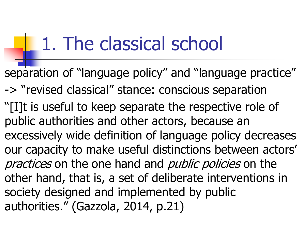### 1. The classical school

separation of "language policy" and "language practice" -> "revised classical" stance: conscious separation "[I]t is useful to keep separate the respective role of public authorities and other actors, because an excessively wide definition of language policy decreases our capacity to make useful distinctions between actors' practices on the one hand and *public policies* on the other hand, that is, a set of deliberate interventions in society designed and implemented by public authorities." (Gazzola, 2014, p.21)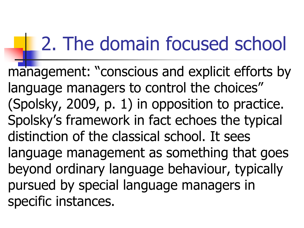## 2. The domain focused school

management: "conscious and explicit efforts by language managers to control the choices" (Spolsky, 2009, p. 1) in opposition to practice. Spolsky's framework in fact echoes the typical distinction of the classical school. It sees language management as something that goes beyond ordinary language behaviour, typically pursued by special language managers in specific instances.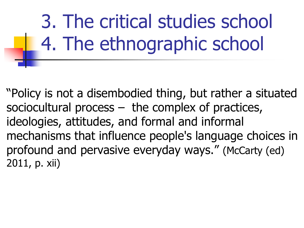3. The critical studies school 4. The ethnographic school

"Policy is not a disembodied thing, but rather a situated sociocultural process – the complex of practices, ideologies, attitudes, and formal and informal mechanisms that influence people's language choices in profound and pervasive everyday ways." (McCarty (ed) 2011, p. xii)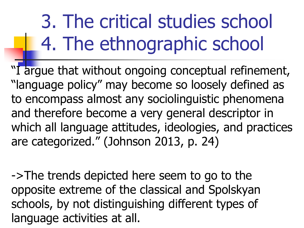## 3. The critical studies school 4. The ethnographic school

"I argue that without ongoing conceptual refinement, "language policy" may become so loosely defined as to encompass almost any sociolinguistic phenomena and therefore become a very general descriptor in which all language attitudes, ideologies, and practices are categorized." (Johnson 2013, p. 24)

->The trends depicted here seem to go to the opposite extreme of the classical and Spolskyan schools, by not distinguishing different types of language activities at all.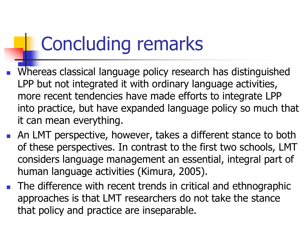## Concluding remarks

- Whereas classical language policy research has distinguished LPP but not integrated it with ordinary language activities, more recent tendencies have made efforts to integrate LPP into practice, but have expanded language policy so much that it can mean everything.
- An LMT perspective, however, takes a different stance to both of these perspectives. In contrast to the first two schools, LMT considers language management an essential, integral part of human language activities (Kimura, 2005).
- The difference with recent trends in critical and ethnographic approaches is that LMT researchers do not take the stance that policy and practice are inseparable.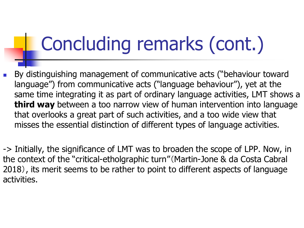## Concluding remarks (cont.)

By distinguishing management of communicative acts ("behaviour toward language") from communicative acts ("language behaviour"), yet at the same time integrating it as part of ordinary language activities, LMT shows a **third way** between a too narrow view of human intervention into language that overlooks a great part of such activities, and a too wide view that misses the essential distinction of different types of language activities.

-> Initially, the significance of LMT was to broaden the scope of LPP. Now, in the context of the "critical-etholgraphic turn"(Martin-Jone & da Costa Cabral 2018), its merit seems to be rather to point to different aspects of language activities.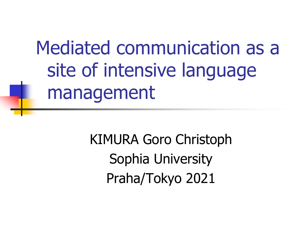Mediated communication as a site of intensive language management

> KIMURA Goro Christoph Sophia University Praha/Tokyo 2021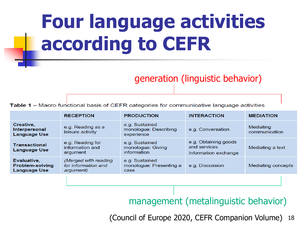## **Four language activities according to CEFR**

### generation (linguistic behavior)

**Table 1 –** Macro-functional basis of CEFR categories for communicative language activities

|                                                              | <b>RECEPTION</b>                                         | <b>PRODUCTION</b>                                     | <b>INTERACTION</b>                                           | <b>MEDIATION</b>           |
|--------------------------------------------------------------|----------------------------------------------------------|-------------------------------------------------------|--------------------------------------------------------------|----------------------------|
| Creative,<br>Interpersonal<br><b>Language Use</b>            | e.g. Reading as a<br>leisure activity                    | e.g. Sustained<br>monologue: Describing<br>experience | e.g. Conversation                                            | Mediating<br>communication |
| <b>Transactional</b><br><b>Language Use</b>                  | e.g. Reading for<br>information and<br>argument          | e.g. Sustained<br>monologue: Giving<br>information    | e.g. Obtaining goods<br>and services<br>Information exchange | Mediating a text           |
| Evaluative,<br><b>Problem-solving</b><br><b>Language Use</b> | (Merged with reading<br>for information and<br>argument) | e.g. Sustained<br>monologue: Presenting a<br>case     | e.g. Discussion                                              | Mediating concepts         |
|                                                              |                                                          |                                                       |                                                              |                            |

### management (metalinguistic behavior)

(Council of Europe 2020, CEFR Companion Volume) 18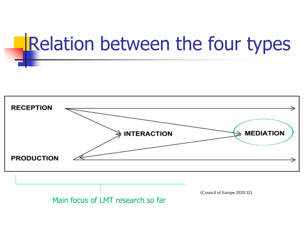# Relation between the four types

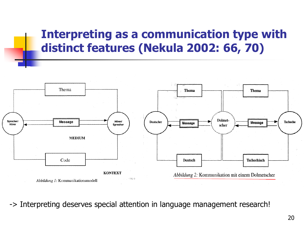### **Interpreting as a communication type with distinct features (Nekula 2002: 66, 70)**



-> Interpreting deserves special attention in language management research!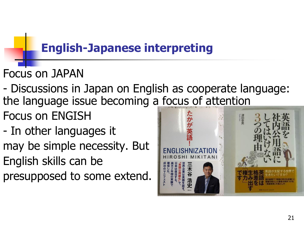### **English-Japanese interpreting**

- Focus on JAPAN
- Discussions in Japan on English as cooperate language: the language issue becoming a focus of attention
- Focus on ENGISH
- In other languages it may be simple necessity. But English skills can be presupposed to some extend.

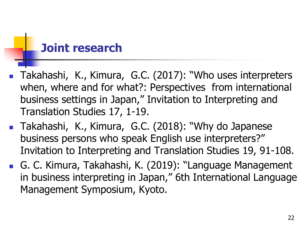### **Joint research**

- Takahashi, K., Kimura, G.C. (2017): "Who uses interpreters when, where and for what?: Perspectives from international business settings in Japan," Invitation to Interpreting and Translation Studies 17, 1-19.
- Takahashi, K., Kimura, G.C. (2018): "Why do Japanese business persons who speak English use interpreters?" Invitation to Interpreting and Translation Studies 19, 91-108.
- G. C. Kimura, Takahashi, K. (2019): "Language Management in business interpreting in Japan," 6th International Language Management Symposium, Kyoto.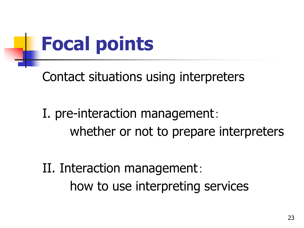

Contact situations using interpreters

### I. pre-interaction management: whether or not to prepare interpreters

II. Interaction management: how to use interpreting services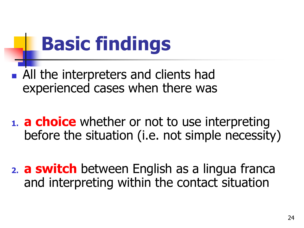## **Basic findings**

- All the interpreters and clients had experienced cases when there was
- **1. a choice** whether or not to use interpreting before the situation (i.e. not simple necessity)
- **2. a switch** between English as a lingua franca and interpreting within the contact situation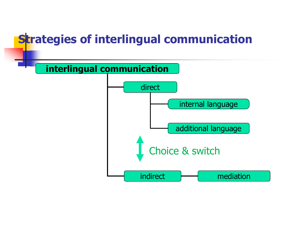### **Strategies of interlingual communication**

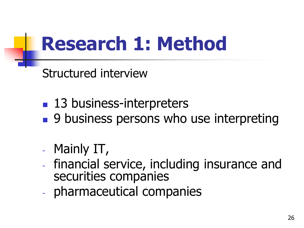## **Research 1: Method**

Structured interview

- 13 business-interpreters
- 9 business persons who use interpreting
- Mainly IT,
- financial service, including insurance and securities companies
- pharmaceutical companies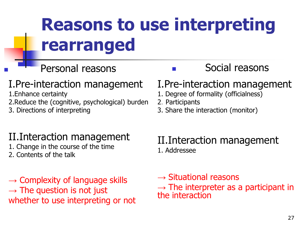### **Reasons to use interpreting rearranged**

### I.Pre-interaction management

1.Enhance certainty

2.Reduce the (cognitive, psychological) burden

3. Directions of interpreting

### II.Interaction management

- 1. Change in the course of the time
- 2. Contents of the talk

 $\rightarrow$  Complexity of language skills  $\rightarrow$  The question is not just whether to use interpreting or not

### Personal reasons **■** Social reasons

### I.Pre-interaction management

- 1. Degree of formality (officialness)
- 2.Participants
- 3. Share the interaction (monitor)

#### II.Interaction management 1. Addressee

 $\rightarrow$  Situational reasons  $\rightarrow$  The interpreter as a participant in the interaction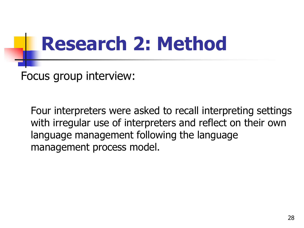## **Research 2: Method**

Focus group interview:

Four interpreters were asked to recall interpreting settings with irregular use of interpreters and reflect on their own language management following the language management process model.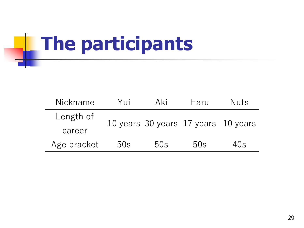## **The participants**

| Nickname    | Yπi | Aki | Haru                                | Nuts |  |
|-------------|-----|-----|-------------------------------------|------|--|
| Length of   |     |     | 10 years 30 years 17 years 10 years |      |  |
| career      |     |     |                                     |      |  |
| Age bracket | 50s | 50s | 50s                                 | 40s  |  |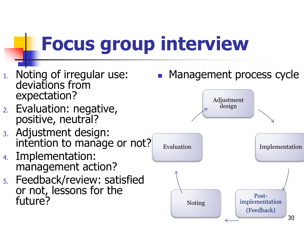## **Focus group interview**

- 1. Noting of irregular use: deviations from expectation?
- 2. Evaluation: negative, positive, neutral?
- 3. Adjustment design: intention to manage or not?
- 4. Implementation: management action?
- 5. Feedback/review: satisfied or not, lessons for the future?



(Feedback)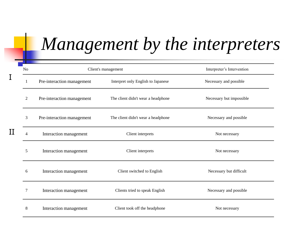### *Management by the interpreters*

|   | No | Client's management        |                                    | Interpreter's Intervention |  |
|---|----|----------------------------|------------------------------------|----------------------------|--|
|   | -1 | Pre-interaction management | Interpret only English to Japanese | Necessary and possible     |  |
|   | 2  | Pre-interaction management | The client didn't wear a headphone | Necessary but impossible   |  |
|   | 3  | Pre-interaction management | The client didn't wear a headphone | Necessary and possible     |  |
| Η | Δ  | Interaction management     | Client interprets                  | Not necessary              |  |
|   | 5  | Interaction management     | Client interprets                  | Not necessary              |  |
|   | 6  | Interaction management     | Client switched to English         | Necessary but difficult    |  |
|   | 7  | Interaction management     | Clients tried to speak English     | Necessary and possible     |  |
|   | 8  | Interaction management     | Client took off the headphone      | Not necessary              |  |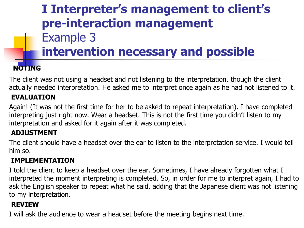### **I Interpreter's management to client's pre-interaction management**  Example 3 **intervention necessary and possible**

#### **NOTING**

The client was not using a headset and not listening to the interpretation, though the client actually needed interpretation. He asked me to interpret once again as he had not listened to it.

#### **EVALUATION**

Again! (It was not the first time for her to be asked to repeat interpretation). I have completed interpreting just right now. Wear a headset. This is not the first time you didn't listen to my interpretation and asked for it again after it was completed.

#### **ADJUSTMENT**

The client should have a headset over the ear to listen to the interpretation service. I would tell him so.

#### **IMPLEMENTATION**

I told the client to keep a headset over the ear. Sometimes, I have already forgotten what I interpreted the moment interpreting is completed. So, in order for me to interpret again, I had to ask the English speaker to repeat what he said, adding that the Japanese client was not listening to my interpretation.

#### **REVIEW**

I will ask the audience to wear a headset before the meeting begins next time.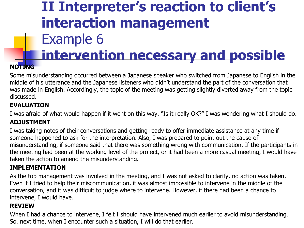### **II Interpreter's reaction to client's interaction management** Example 6 **intervention necessary and possible**

#### **NOTING**

Some misunderstanding occurred between a Japanese speaker who switched from Japanese to English in the middle of his utterance and the Japanese listeners who didn't understand the part of the conversation that was made in English. Accordingly, the topic of the meeting was getting slightly diverted away from the topic discussed.

#### **EVALUATION**

I was afraid of what would happen if it went on this way. "Is it really OK?" I was wondering what I should do.

#### **ADJUSTMENT**

I was taking notes of their conversations and getting ready to offer immediate assistance at any time if someone happened to ask for the interpretation. Also, I was prepared to point out the cause of misunderstanding, if someone said that there was something wrong with communication. If the participants in the meeting had been at the working level of the project, or it had been a more casual meeting, I would have taken the action to amend the misunderstanding.

#### **IMPLEMENTATION**

As the top management was involved in the meeting, and I was not asked to clarify, no action was taken. Even if I tried to help their miscommunication, it was almost impossible to intervene in the middle of the conversation, and it was difficult to judge where to intervene. However, if there had been a chance to intervene, I would have.

#### **REVIEW**

When I had a chance to intervene, I felt I should have intervened much earlier to avoid misunderstanding. So, next time, when I encounter such a situation, I will do that earlier.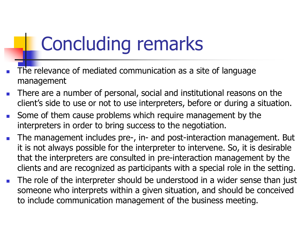## Concluding remarks

- The relevance of mediated communication as a site of language management
- There are a number of personal, social and institutional reasons on the client's side to use or not to use interpreters, before or during a situation.
- Some of them cause problems which require management by the interpreters in order to bring success to the negotiation.
- The management includes pre-, in- and post-interaction management. But it is not always possible for the interpreter to intervene. So, it is desirable that the interpreters are consulted in pre-interaction management by the clients and are recognized as participants with a special role in the setting.
- The role of the interpreter should be understood in a wider sense than just someone who interprets within a given situation, and should be conceived to include communication management of the business meeting.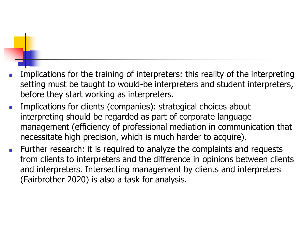- Implications for the training of interpreters: this reality of the interpreting setting must be taught to would-be interpreters and student interpreters, before they start working as interpreters.
- Implications for clients (companies): strategical choices about interpreting should be regarded as part of corporate language management (efficiency of professional mediation in communication that necessitate high precision, which is much harder to acquire).
- Further research: it is required to analyze the complaints and requests from clients to interpreters and the difference in opinions between clients and interpreters. Intersecting management by clients and interpreters (Fairbrother 2020) is also a task for analysis.